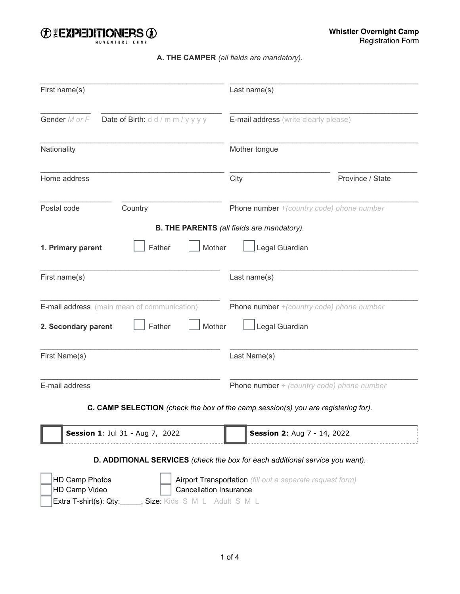

## **A. THE CAMPER** *(all fields are mandatory).*

| First name(s)                                                                                 | Last name(s)                                                                               |
|-----------------------------------------------------------------------------------------------|--------------------------------------------------------------------------------------------|
| Gender M or F<br>Date of Birth: d d / m m / y y y y                                           | E-mail address (write clearly please)                                                      |
| Nationality                                                                                   | Mother tongue                                                                              |
| Home address                                                                                  | City<br>Province / State                                                                   |
| Postal code<br>Country                                                                        | Phone number +(country code) phone number                                                  |
|                                                                                               | <b>B. THE PARENTS</b> (all fields are mandatory).                                          |
| Father<br>1. Primary parent                                                                   | Legal Guardian<br>Mother                                                                   |
| First name(s)                                                                                 | Last name(s)                                                                               |
| E-mail address (main mean of communication)<br>Father<br>2. Secondary parent                  | Phone number +(country code) phone number<br>Mother<br>Legal Guardian                      |
| First Name(s)                                                                                 | Last Name(s)                                                                               |
| E-mail address                                                                                | <b>Phone number</b> $+$ (country code) phone number                                        |
|                                                                                               | C. CAMP SELECTION (check the box of the camp session(s) you are registering for).          |
| Session 1: Jul 31 - Aug 7, 2022                                                               | Session 2: Aug 7 - 14, 2022                                                                |
|                                                                                               | D. ADDITIONAL SERVICES (check the box for each additional service you want).               |
| HD Camp Photos<br>HD Camp Video<br>Extra T-shirt(s): Qty:______, Size: Kids S M L Adult S M L | Airport Transportation (fill out a separate request form)<br><b>Cancellation Insurance</b> |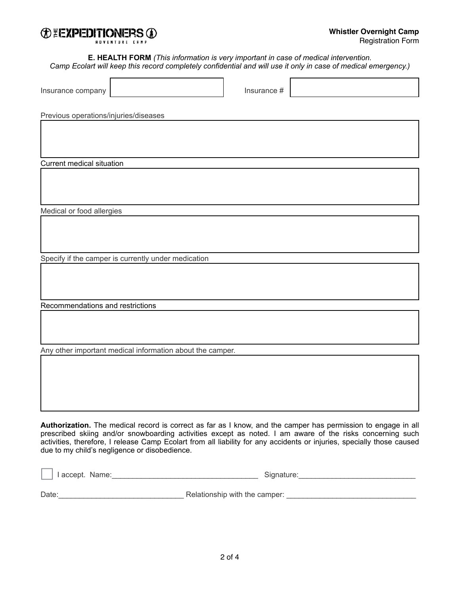

 $\overline{a}$ 

**E. HEALTH FORM** *(This information is very important in case of medical intervention. Camp Ecolart will keep this record completely confidential and will use it only in case of medical emergency.)*

| Insurance company                                         | Insurance #                                                                                                                                                                                                                |
|-----------------------------------------------------------|----------------------------------------------------------------------------------------------------------------------------------------------------------------------------------------------------------------------------|
| Previous operations/injuries/diseases                     |                                                                                                                                                                                                                            |
|                                                           |                                                                                                                                                                                                                            |
|                                                           |                                                                                                                                                                                                                            |
| Current medical situation                                 |                                                                                                                                                                                                                            |
|                                                           |                                                                                                                                                                                                                            |
| Medical or food allergies                                 |                                                                                                                                                                                                                            |
|                                                           |                                                                                                                                                                                                                            |
| Specify if the camper is currently under medication       |                                                                                                                                                                                                                            |
|                                                           |                                                                                                                                                                                                                            |
| Recommendations and restrictions                          |                                                                                                                                                                                                                            |
|                                                           |                                                                                                                                                                                                                            |
| Any other important medical information about the camper. |                                                                                                                                                                                                                            |
|                                                           |                                                                                                                                                                                                                            |
|                                                           | Authorization. The medical record is correct as far as I know, and the camper has permission to engage in all<br>prescribed skiing and/or snowboarding activities except as noted. I am aware of the risks concerning such |

activities, therefore, I release Camp Ecolart from all liability for any accidents or injuries, specially those caused due to my child's negligence or disobedience.

| I accept. Name: | Signature:                    |  |  |
|-----------------|-------------------------------|--|--|
|                 |                               |  |  |
| Date:           | Relationship with the camper: |  |  |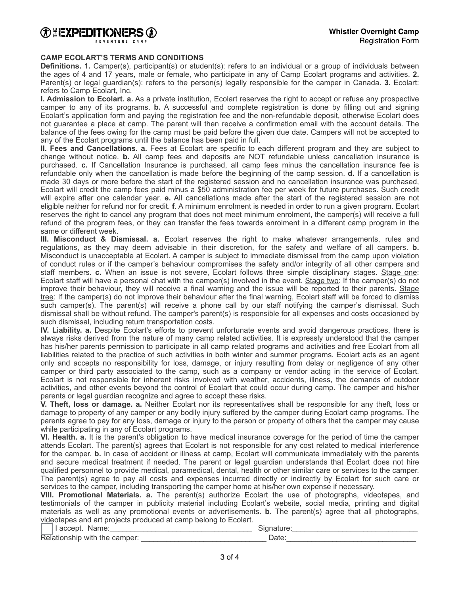

#### **CAMP ECOLART'S TERMS AND CONDITIONS**

**Definitions. 1.** Camper(s), participant(s) or student(s): refers to an individual or a group of individuals between the ages of 4 and 17 years, male or female, who participate in any of Camp Ecolart programs and activities. **2.** Parent(s) or legal guardian(s): refers to the person(s) legally responsible for the camper in Canada. **3.** Ecolart: refers to Camp Ecolart, Inc.

**I. Admission to Ecolart. a.** As a private institution, Ecolart reserves the right to accept or refuse any prospective camper to any of its programs. **b.** A successful and complete registration is done by filling out and signing Ecolart's application form and paying the registration fee and the non-refundable deposit, otherwise Ecolart does not guarantee a place at camp. The parent will then receive a confirmation email with the account details. The balance of the fees owing for the camp must be paid before the given due date. Campers will not be accepted to any of the Ecolart programs until the balance has been paid in full.

**II. Fees and Cancellations. a.** Fees at Ecolart are specific to each different program and they are subject to change without notice. **b.** All camp fees and deposits are NOT refundable unless cancellation insurance is purchased. **c.** If Cancellation Insurance is purchased, all camp fees minus the cancellation insurance fee is refundable only when the cancellation is made before the beginning of the camp session. **d.** If a cancellation is made 30 days or more before the start of the registered session and no cancellation insurance was purchased, Ecolart will credit the camp fees paid minus a \$50 administration fee per week for future purchases. Such credit will expire after one calendar year. **e.** All cancellations made after the start of the registered session are not eligible neither for refund nor for credit. **f**. A minimum enrolment is needed in order to run a given program. Ecolart reserves the right to cancel any program that does not meet minimum enrolment, the camper(s) will receive a full refund of the program fees, or they can transfer the fees towards enrolment in a different camp program in the same or different week.

**III. Misconduct & Dismissal. a.** Ecolart reserves the right to make whatever arrangements, rules and regulations, as they may deem advisable in their discretion, for the safety and welfare of all campers. **b.** Misconduct is unacceptable at Ecolart. A camper is subject to immediate dismissal from the camp upon violation of conduct rules or if the camper's behaviour compromises the safety and/or integrity of all other campers and staff members. **c.** When an issue is not severe, Ecolart follows three simple disciplinary stages. Stage one: Ecolart staff will have a personal chat with the camper(s) involved in the event. Stage two: If the camper(s) do not improve their behaviour, they will receive a final warning and the issue will be reported to their parents. Stage tree: If the camper(s) do not improve their behaviour after the final warning, Ecolart staff will be forced to dismiss such camper(s). The parent(s) will receive a phone call by our staff notifying the camper's dismissal. Such dismissal shall be without refund. The camper's parent(s) is responsible for all expenses and costs occasioned by such dismissal, including return transportation costs.

**IV. Liability. a.** Despite Ecolart's efforts to prevent unfortunate events and avoid dangerous practices, there is always risks derived from the nature of many camp related activities. It is expressly understood that the camper has his/her parents permission to participate in all camp related programs and activities and free Ecolart from all liabilities related to the practice of such activities in both winter and summer programs. Ecolart acts as an agent only and accepts no responsibility for loss, damage, or injury resulting from delay or negligence of any other camper or third party associated to the camp, such as a company or vendor acting in the service of Ecolart. Ecolart is not responsible for inherent risks involved with weather, accidents, illness, the demands of outdoor activities, and other events beyond the control of Ecolart that could occur during camp. The camper and his/her parents or legal guardian recognize and agree to accept these risks.

**V. Theft, loss or damage. a.** Neither Ecolart nor its representatives shall be responsible for any theft, loss or damage to property of any camper or any bodily injury suffered by the camper during Ecolart camp programs. The parents agree to pay for any loss, damage or injury to the person or property of others that the camper may cause while participating in any of Ecolart programs.

**VI. Health. a.** It is the parent's obligation to have medical insurance coverage for the period of time the camper attends Ecolart. The parent(s) agrees that Ecolart is not responsible for any cost related to medical interference for the camper. **b.** In case of accident or illness at camp, Ecolart will communicate immediately with the parents and secure medical treatment if needed. The parent or legal guardian understands that Ecolart does not hire qualified personnel to provide medical, paramedical, dental, health or other similar care or services to the camper. The parent(s) agree to pay all costs and expenses incurred directly or indirectly by Ecolart for such care or services to the camper, including transporting the camper home at his/her own expense if necessary.

**VIII. Promotional Materials. a.** The parent(s) authorize Ecolart the use of photographs, videotapes, and testimonials of the camper in publicity material including Ecolart's website, social media, printing and digital materials as well as any promotional events or advertisements. **b.** The parent(s) agree that all photographs, videotapes and art projects produced at camp belong to Ecolart.

| I accept. Name:               |      |
|-------------------------------|------|
| Relationship with the camper: | Date |